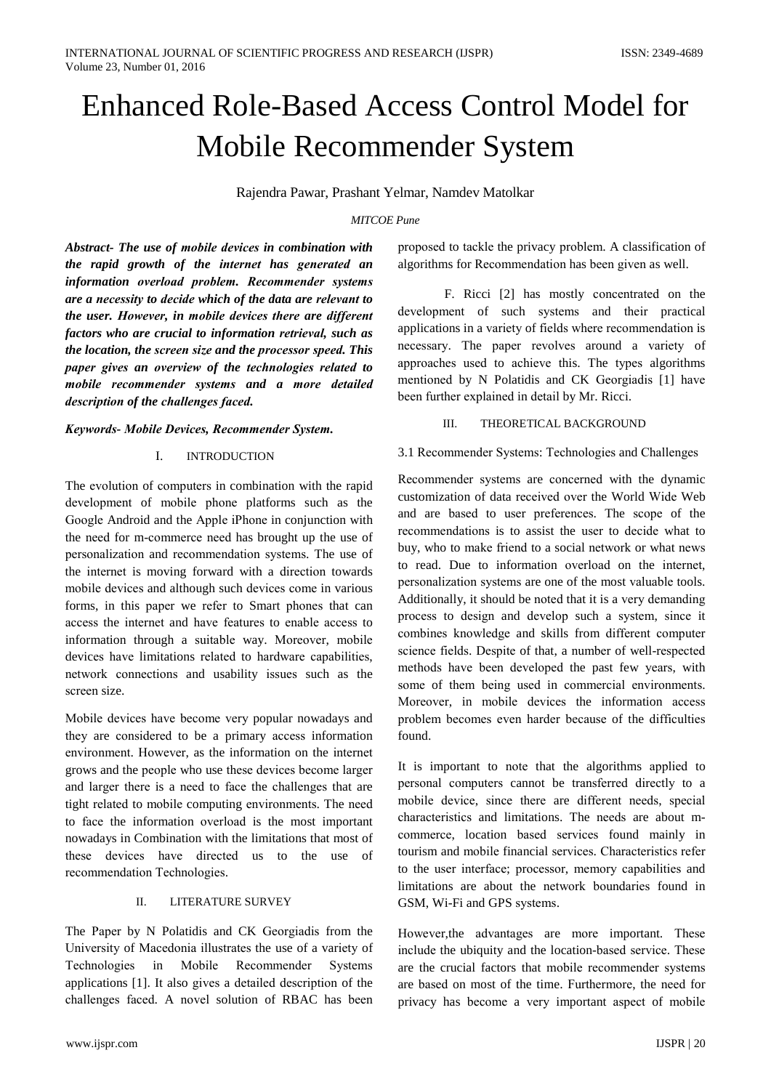# Enhanced Role-Based Access Control Model for **Mobile Recommender System**

Raiendra Pawar, Prashant Yelmar, Namdey Matolkar

# **MITCOF Pune**

Abstract- The use of mobile devices in combination with the rapid growth of the internet has generated an information overload problem. Recommender systems are a necessity to decide which of the data are relevant to the user. However, in mobile devices there are different factors who are crucial to information retrieval, such as the location, the screen size and the processor speed. This paper gives an overview of the technologies related to mobile recommender systems and a more detailed description of the challenges faced.

# Keywords- Mobile Devices, Recommender System.

#### $\mathbf{I}$ **INTRODUCTION**

The evolution of computers in combination with the rapid development of mobile phone platforms such as the Google Android and the Apple iPhone in conjunction with the need for m-commerce need has brought up the use of personalization and recommendation systems. The use of the internet is moving forward with a direction towards mobile devices and although such devices come in various forms, in this paper we refer to Smart phones that can access the internet and have features to enable access to information through a suitable way. Moreover, mobile devices have limitations related to hardware capabilities, network connections and usability issues such as the screen size.

Mobile devices have become very popular nowadays and they are considered to be a primary access information environment. However, as the information on the internet grows and the people who use these devices become larger and larger there is a need to face the challenges that are tight related to mobile computing environments. The need to face the information overload is the most important nowadays in Combination with the limitations that most of these devices have directed us to the use of recommendation Technologies.

#### **LITERATURE SURVEY**  $\Pi$

The Paper by N Polatidis and CK Georgiadis from the University of Macedonia illustrates the use of a variety of Technologies Mobile Recommender  $in$ Systems applications [1]. It also gives a detailed description of the challenges faced. A novel solution of RBAC has been

proposed to tackle the privacy problem. A classification of algorithms for Recommendation has been given as well.

F. Ricci [2] has mostly concentrated on the development of such systems and their practical applications in a variety of fields where recommendation is necessary. The paper revolves around a variety of approaches used to achieve this. The types algorithms mentioned by N Polatidis and CK Georgiadis [1] have been further explained in detail by Mr. Ricci.

#### $III$ THEORETICAL BACKGROUND

## 3.1 Recommender Systems: Technologies and Challenges

Recommender systems are concerned with the dynamic customization of data received over the World Wide Web and are based to user preferences. The scope of the recommendations is to assist the user to decide what to buy, who to make friend to a social network or what news to read. Due to information overload on the internet. personalization systems are one of the most valuable tools. Additionally, it should be noted that it is a very demanding process to design and develop such a system, since it combines knowledge and skills from different computer science fields. Despite of that, a number of well-respected methods have been developed the past few years, with some of them being used in commercial environments. Moreover, in mobile devices the information access problem becomes even harder because of the difficulties found.

It is important to note that the algorithms applied to personal computers cannot be transferred directly to a mobile device, since there are different needs, special characteristics and limitations. The needs are about mcommerce. location based services found mainly in tourism and mobile financial services. Characteristics refer to the user interface; processor, memory capabilities and limitations are about the network boundaries found in GSM, Wi-Fi and GPS systems.

However, the advantages are more important. These include the ubiquity and the location-based service. These are the crucial factors that mobile recommender systems are based on most of the time. Furthermore, the need for privacy has become a very important aspect of mobile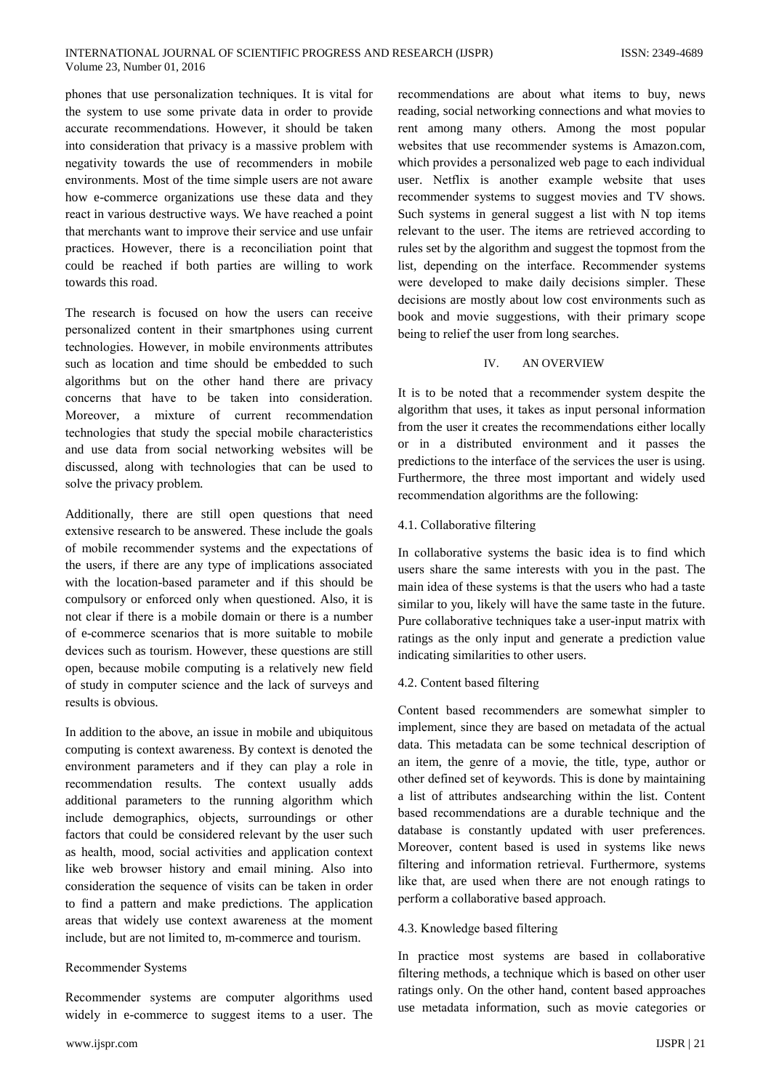phones that use personalization techniques. It is vital for the system to use some private data in order to provide accurate recommendations. However, it should be taken into consideration that privacy is a massive problem with negativity towards the use of recommenders in mobile environments. Most of the time simple users are not aware how e-commerce organizations use these data and they react in various destructive ways. We have reached a point that merchants want to improve their service and use unfair practices. However, there is a reconciliation point that could be reached if both parties are willing to work towards this road.

The research is focused on how the users can receive personalized content in their smartphones using current technologies. However, in mobile environments attributes such as location and time should be embedded to such algorithms but on the other hand there are privacy concerns that have to be taken into consideration. Moreover, a mixture of current recommendation technologies that study the special mobile characteristics and use data from social networking websites will be discussed, along with technologies that can be used to solve the privacy problem.

Additionally, there are still open questions that need extensive research to be answered. These include the goals of mobile recommender systems and the expectations of the users, if there are any type of implications associated with the location-based parameter and if this should be compulsory or enforced only when questioned. Also, it is not clear if there is a mobile domain or there is a number of e-commerce scenarios that is more suitable to mobile devices such as tourism. However, these questions are still open, because mobile computing is a relatively new field of study in computer science and the lack of surveys and results is obvious.

In addition to the above, an issue in mobile and ubiquitous computing is context awareness. By context is denoted the environment parameters and if they can play a role in recommendation results. The context usually adds additional parameters to the running algorithm which include demographics, objects, surroundings or other factors that could be considered relevant by the user such as health, mood, social activities and application context like web browser history and email mining. Also into consideration the sequence of visits can be taken in order to find a pattern and make predictions. The application areas that widely use context awareness at the moment include, but are not limited to, m-commerce and tourism.

# **Recommender Systems**

Recommender systems are computer algorithms used widely in e-commerce to suggest items to a user. The recommendations are about what items to buy, news reading, social networking connections and what movies to rent among many others. Among the most popular websites that use recommender systems is Amazon.com, which provides a personalized web page to each individual user. Netflix is another example website that uses recommender systems to suggest movies and TV shows. Such systems in general suggest a list with N top items relevant to the user. The items are retrieved according to rules set by the algorithm and suggest the topmost from the list, depending on the interface. Recommender systems were developed to make daily decisions simpler. These decisions are mostly about low cost environments such as book and movie suggestions, with their primary scope being to relief the user from long searches.

#### **IV AN OVERVIEW**

It is to be noted that a recommender system despite the algorithm that uses, it takes as input personal information from the user it creates the recommendations either locally or in a distributed environment and it passes the predictions to the interface of the services the user is using. Furthermore, the three most important and widely used recommendation algorithms are the following:

# 4.1. Collaborative filtering

In collaborative systems the basic idea is to find which users share the same interests with you in the past. The main idea of these systems is that the users who had a taste similar to you, likely will have the same taste in the future. Pure collaborative techniques take a user-input matrix with ratings as the only input and generate a prediction value indicating similarities to other users.

# 4.2. Content based filtering

Content based recommenders are somewhat simpler to implement, since they are based on metadata of the actual data. This metadata can be some technical description of an item, the genre of a movie, the title, type, author or other defined set of keywords. This is done by maintaining a list of attributes and searching within the list. Content based recommendations are a durable technique and the database is constantly updated with user preferences. Moreover, content based is used in systems like news filtering and information retrieval. Furthermore, systems like that, are used when there are not enough ratings to perform a collaborative based approach.

# 4.3. Knowledge based filtering

In practice most systems are based in collaborative filtering methods, a technique which is based on other user ratings only. On the other hand, content based approaches use metadata information, such as movie categories or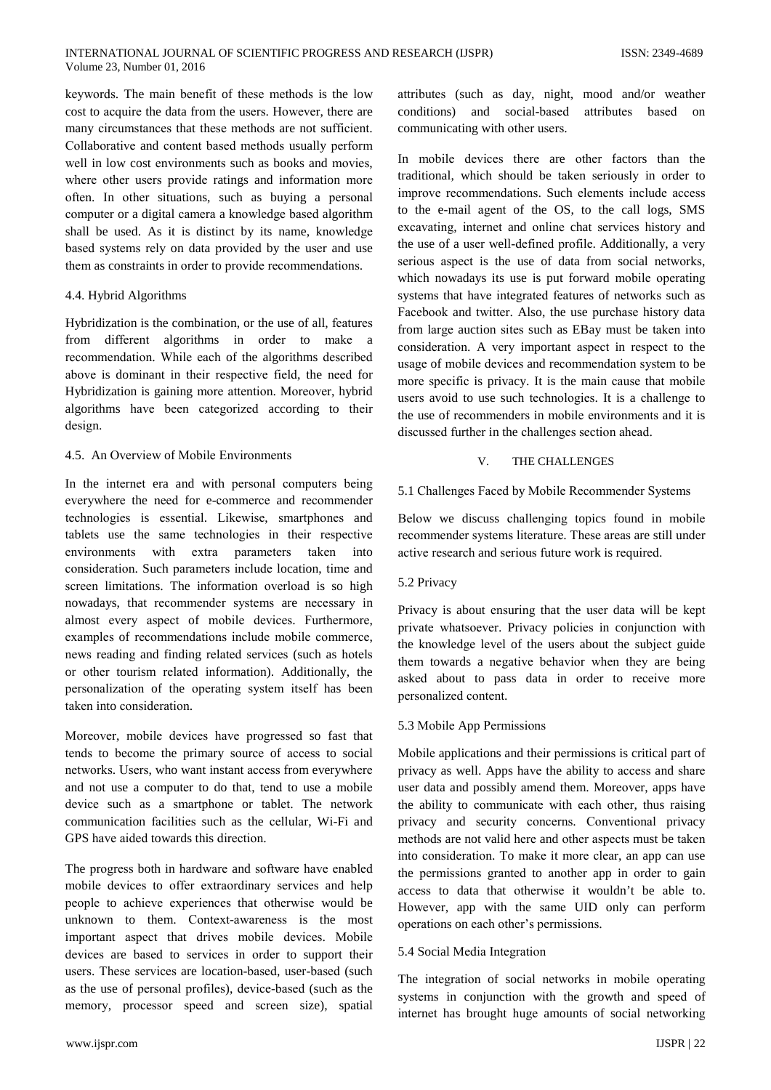keywords. The main benefit of these methods is the low cost to acquire the data from the users. However, there are many circumstances that these methods are not sufficient. Collaborative and content based methods usually perform well in low cost environments such as books and movies, where other users provide ratings and information more often. In other situations, such as buying a personal computer or a digital camera a knowledge based algorithm shall be used. As it is distinct by its name, knowledge based systems rely on data provided by the user and use them as constraints in order to provide recommendations.

## 4.4. Hybrid Algorithms

Hybridization is the combination, or the use of all, features from different algorithms in order to make a recommendation. While each of the algorithms described above is dominant in their respective field, the need for Hybridization is gaining more attention. Moreover, hybrid algorithms have been categorized according to their design.

## 4.5. An Overview of Mobile Environments

In the internet era and with personal computers being everywhere the need for e-commerce and recommender technologies is essential. Likewise, smartphones and tablets use the same technologies in their respective environments with extra parameters taken into consideration. Such parameters include location, time and screen limitations. The information overload is so high nowadays, that recommender systems are necessary in almost every aspect of mobile devices. Furthermore, examples of recommendations include mobile commerce, news reading and finding related services (such as hotels or other tourism related information). Additionally, the personalization of the operating system itself has been taken into consideration.

Moreover, mobile devices have progressed so fast that tends to become the primary source of access to social networks. Users, who want instant access from everywhere and not use a computer to do that, tend to use a mobile device such as a smartphone or tablet. The network communication facilities such as the cellular. Wi-Fi and GPS have aided towards this direction.

The progress both in hardware and software have enabled mobile devices to offer extraordinary services and help people to achieve experiences that otherwise would be unknown to them. Context-awareness is the most important aspect that drives mobile devices. Mobile devices are based to services in order to support their users. These services are location-based, user-based (such as the use of personal profiles), device-based (such as the memory, processor speed and screen size), spatial

www.ijspr.com

attributes (such as day, night, mood and/or weather attributes based on conditions) and social-based communicating with other users.

In mobile devices there are other factors than the traditional, which should be taken seriously in order to improve recommendations. Such elements include access to the e-mail agent of the OS, to the call logs, SMS excavating, internet and online chat services history and the use of a user well-defined profile. Additionally, a very serious aspect is the use of data from social networks, which nowadays its use is put forward mobile operating systems that have integrated features of networks such as Facebook and twitter. Also, the use purchase history data from large auction sites such as EBay must be taken into consideration. A very important aspect in respect to the usage of mobile devices and recommendation system to be more specific is privacy. It is the main cause that mobile users avoid to use such technologies. It is a challenge to the use of recommenders in mobile environments and it is discussed further in the challenges section ahead.

#### $V_{\cdot}$ THE CHALLENGES

## 5.1 Challenges Faced by Mobile Recommender Systems

Below we discuss challenging topics found in mobile recommender systems literature. These areas are still under active research and serious future work is required.

# 5.2 Privacy

Privacy is about ensuring that the user data will be kept private whatsoever. Privacy policies in conjunction with the knowledge level of the users about the subject guide them towards a negative behavior when they are being asked about to pass data in order to receive more personalized content.

## 5.3 Mobile App Permissions

Mobile applications and their permissions is critical part of privacy as well. Apps have the ability to access and share user data and possibly amend them. Moreover, apps have the ability to communicate with each other, thus raising privacy and security concerns. Conventional privacy methods are not valid here and other aspects must be taken into consideration. To make it more clear, an app can use the permissions granted to another app in order to gain access to data that otherwise it wouldn't be able to. However, app with the same UID only can perform operations on each other's permissions.

## 5.4 Social Media Integration

The integration of social networks in mobile operating systems in conjunction with the growth and speed of internet has brought huge amounts of social networking